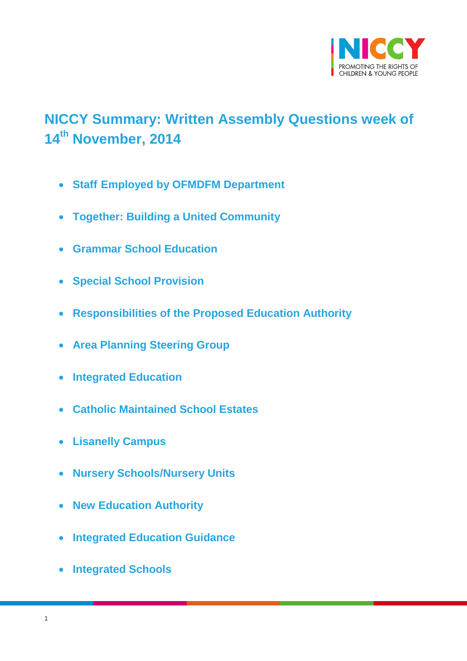

# <span id="page-0-0"></span>**NICCY Summary: Written Assembly Questions week of 14th November, 2014**

- **Staff [Employed by OFMDFM Department](#page-2-0)**
- **[Together: Building a United Community](#page-3-0)**
- **[Grammar School Education](#page-4-0)**
- **[Special School Provision](#page-4-1)**
- **[Responsibilities of the Proposed Education Authority](#page-5-0)**
- **[Area Planning Steering Group](#page-5-1)**
- **[Integrated Education](#page-6-0)**
- **[Catholic Maintained School Estates](#page-6-1)**
- **[Lisanelly Campus](#page-7-0)**
- **[Nursery Schools/Nursery Units](#page-7-1)**
- **[New Education Authority](#page-10-0)**
- **[Integrated Education Guidance](#page-10-1)**
- **[Integrated Schools](#page-11-0)**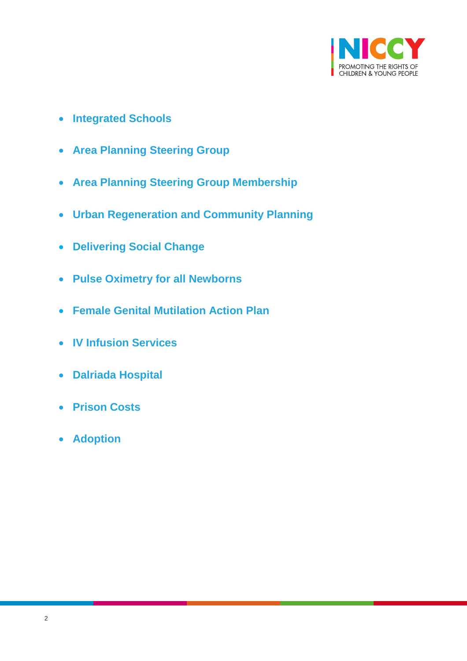

- **[Integrated Schools](#page-11-1)**
- **[Area Planning Steering Group](#page-12-0)**
- **[Area Planning Steering Group Membership](#page-13-0)**
- **[Urban Regeneration and Community Planning](#page-14-0)**
- **[Delivering Social Change](#page-16-0)**
- **[Pulse Oximetry for all Newborns](#page-16-1)**
- **[Female Genital Mutilation Action Plan](#page-17-0)**
- **[IV Infusion Services](#page-17-1)**
- **[Dalriada Hospital](#page-18-0)**
- **[Prison Costs](#page-19-0)**
- **[Adoption](#page-19-1)**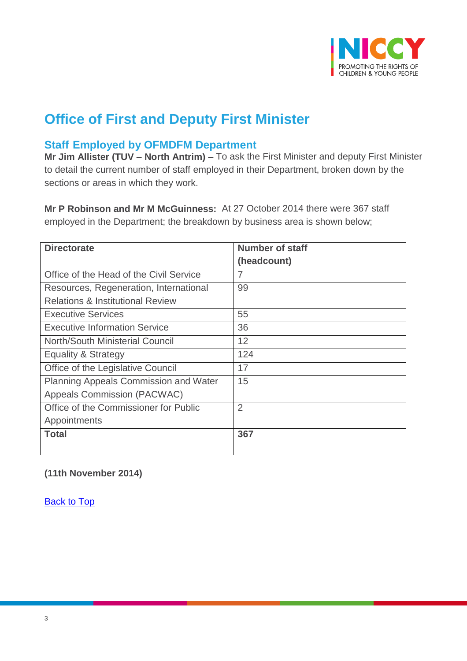

# **Office of First and Deputy First Minister**

# <span id="page-2-0"></span>**Staff Employed by OFMDFM Department**

**Mr Jim Allister (TUV – North Antrim) –** To ask the First Minister and deputy First Minister to detail the current number of staff employed in their Department, broken down by the sections or areas in which they work.

**Mr P Robinson and Mr M McGuinness:** At 27 October 2014 there were 367 staff employed in the Department; the breakdown by business area is shown below;

| <b>Directorate</b>                          | <b>Number of staff</b> |
|---------------------------------------------|------------------------|
|                                             | (headcount)            |
| Office of the Head of the Civil Service     | 7                      |
| Resources, Regeneration, International      | 99                     |
| <b>Relations &amp; Institutional Review</b> |                        |
| <b>Executive Services</b>                   | 55                     |
| <b>Executive Information Service</b>        | 36                     |
| North/South Ministerial Council             | 12                     |
| <b>Equality &amp; Strategy</b>              | 124                    |
| Office of the Legislative Council           | 17                     |
| Planning Appeals Commission and Water       | 15                     |
| <b>Appeals Commission (PACWAC)</b>          |                        |
| Office of the Commissioner for Public       | $\overline{2}$         |
| Appointments                                |                        |
| <b>Total</b>                                | 367                    |
|                                             |                        |

**(11th November 2014)**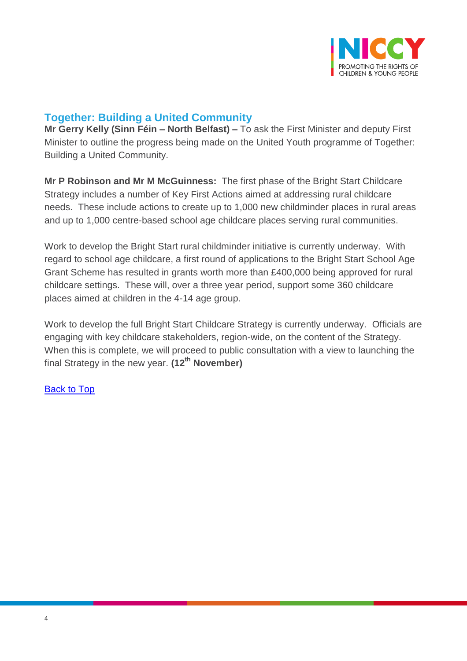

## <span id="page-3-0"></span>**Together: Building a United Community**

**Mr Gerry Kelly (Sinn Féin – North Belfast) –** To ask the First Minister and deputy First Minister to outline the progress being made on the United Youth programme of Together: Building a United Community.

**Mr P Robinson and Mr M McGuinness:** The first phase of the Bright Start Childcare Strategy includes a number of Key First Actions aimed at addressing rural childcare needs. These include actions to create up to 1,000 new childminder places in rural areas and up to 1,000 centre-based school age childcare places serving rural communities.

Work to develop the Bright Start rural childminder initiative is currently underway. With regard to school age childcare, a first round of applications to the Bright Start School Age Grant Scheme has resulted in grants worth more than £400,000 being approved for rural childcare settings. These will, over a three year period, support some 360 childcare places aimed at children in the 4-14 age group.

Work to develop the full Bright Start Childcare Strategy is currently underway. Officials are engaging with key childcare stakeholders, region-wide, on the content of the Strategy. When this is complete, we will proceed to public consultation with a view to launching the final Strategy in the new year. **(12th November)**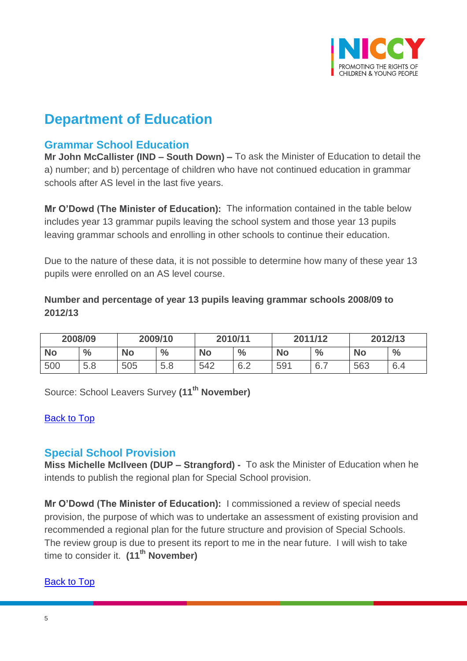

# **Department of Education**

## <span id="page-4-0"></span>**Grammar School Education**

**Mr John McCallister (IND – South Down) –** To ask the Minister of Education to detail the a) number; and b) percentage of children who have not continued education in grammar schools after AS level in the last five years.

**Mr O'Dowd (The Minister of Education):** The information contained in the table below includes year 13 grammar pupils leaving the school system and those year 13 pupils leaving grammar schools and enrolling in other schools to continue their education.

Due to the nature of these data, it is not possible to determine how many of these year 13 pupils were enrolled on an AS level course.

### **Number and percentage of year 13 pupils leaving grammar schools 2008/09 to 2012/13**

|     | 2008/09       | 2009/10   |               | 2010/11 |               | 2011/12   |               | 2012/13   |               |
|-----|---------------|-----------|---------------|---------|---------------|-----------|---------------|-----------|---------------|
| No  | $\frac{0}{0}$ | <b>No</b> | $\frac{6}{6}$ | No      | $\frac{0}{0}$ | <b>No</b> | $\frac{0}{0}$ | <b>No</b> | $\frac{6}{6}$ |
| 500 | 5.8           | 505       | 5.8           | 542     | 6.2           | 591       | 6.            | 563       | 6.4           |

Source: School Leavers Survey **(11th November)**

### [Back to Top](#page-0-0)

## <span id="page-4-1"></span>**Special School Provision**

**Miss Michelle McIlveen (DUP – Strangford) -** To ask the Minister of Education when he intends to publish the regional plan for Special School provision.

**Mr O'Dowd (The Minister of Education):** I commissioned a review of special needs provision, the purpose of which was to undertake an assessment of existing provision and recommended a regional plan for the future structure and provision of Special Schools. The review group is due to present its report to me in the near future. I will wish to take time to consider it. **(11th November)**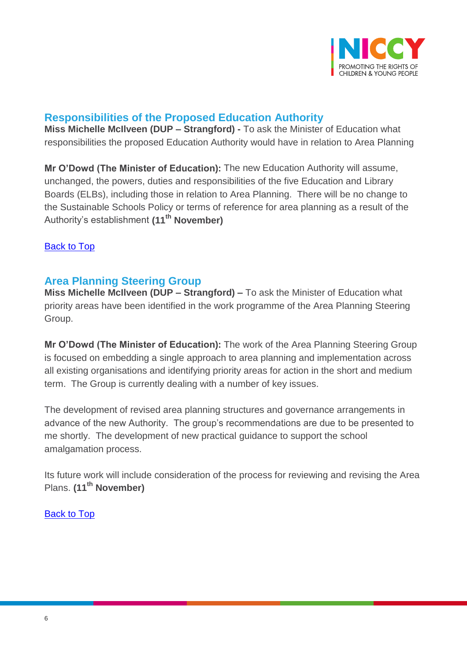

# <span id="page-5-0"></span>**Responsibilities of the Proposed Education Authority**

**Miss Michelle McIlveen (DUP – Strangford) -** To ask the Minister of Education what responsibilities the proposed Education Authority would have in relation to Area Planning

**Mr O'Dowd (The Minister of Education):** The new Education Authority will assume, unchanged, the powers, duties and responsibilities of the five Education and Library Boards (ELBs), including those in relation to Area Planning. There will be no change to the Sustainable Schools Policy or terms of reference for area planning as a result of the Authority's establishment **(11th November)** 

### [Back to Top](#page-0-0)

## <span id="page-5-1"></span>**Area Planning Steering Group**

**Miss Michelle McIlveen (DUP – Strangford) –** To ask the Minister of Education what priority areas have been identified in the work programme of the Area Planning Steering Group.

**Mr O'Dowd (The Minister of Education):** The work of the Area Planning Steering Group is focused on embedding a single approach to area planning and implementation across all existing organisations and identifying priority areas for action in the short and medium term. The Group is currently dealing with a number of key issues.

The development of revised area planning structures and governance arrangements in advance of the new Authority. The group's recommendations are due to be presented to me shortly. The development of new practical guidance to support the school amalgamation process.

Its future work will include consideration of the process for reviewing and revising the Area Plans. **(11th November)**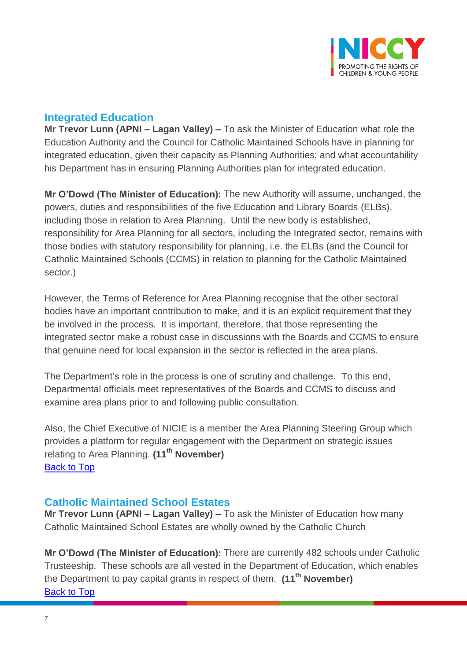

## <span id="page-6-0"></span>**Integrated Education**

**Mr Trevor Lunn (APNI – Lagan Valley) –** To ask the Minister of Education what role the Education Authority and the Council for Catholic Maintained Schools have in planning for integrated education, given their capacity as Planning Authorities; and what accountability his Department has in ensuring Planning Authorities plan for integrated education.

**Mr O'Dowd (The Minister of Education):** The new Authority will assume, unchanged, the powers, duties and responsibilities of the five Education and Library Boards (ELBs), including those in relation to Area Planning. Until the new body is established, responsibility for Area Planning for all sectors, including the Integrated sector, remains with those bodies with statutory responsibility for planning, i.e. the ELBs (and the Council for Catholic Maintained Schools (CCMS) in relation to planning for the Catholic Maintained sector.)

However, the Terms of Reference for Area Planning recognise that the other sectoral bodies have an important contribution to make, and it is an explicit requirement that they be involved in the process. It is important, therefore, that those representing the integrated sector make a robust case in discussions with the Boards and CCMS to ensure that genuine need for local expansion in the sector is reflected in the area plans.

The Department's role in the process is one of scrutiny and challenge. To this end, Departmental officials meet representatives of the Boards and CCMS to discuss and examine area plans prior to and following public consultation.

Also, the Chief Executive of NICIE is a member the Area Planning Steering Group which provides a platform for regular engagement with the Department on strategic issues relating to Area Planning. **(11th November) [Back to](#page-0-0) Top** 

## <span id="page-6-1"></span>**Catholic Maintained School Estates**

**Mr Trevor Lunn (APNI – Lagan Valley) –** To ask the Minister of Education how many Catholic Maintained School Estates are wholly owned by the Catholic Church

**Mr O'Dowd (The Minister of Education):** There are currently 482 schools under Catholic Trusteeship. These schools are all vested in the Department of Education, which enables the Department to pay capital grants in respect of them. **(11th November)** [Back to Top](#page-0-0)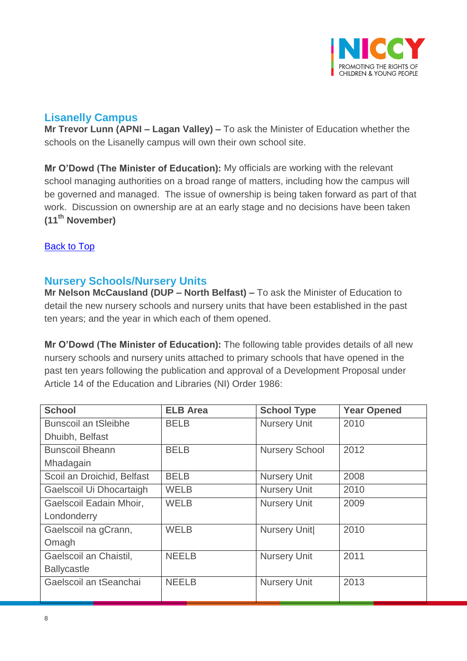

# <span id="page-7-0"></span>**Lisanelly Campus**

**Mr Trevor Lunn (APNI – Lagan Valley) –** To ask the Minister of Education whether the schools on the Lisanelly campus will own their own school site.

**Mr O'Dowd (The Minister of Education):** My officials are working with the relevant school managing authorities on a broad range of matters, including how the campus will be governed and managed. The issue of ownership is being taken forward as part of that work. Discussion on ownership are at an early stage and no decisions have been taken **(11th November)**

### [Back to Top](#page-0-0)

## <span id="page-7-1"></span>**Nursery Schools/Nursery Units**

**Mr Nelson McCausland (DUP – North Belfast) –** To ask the Minister of Education to detail the new nursery schools and nursery units that have been established in the past ten years; and the year in which each of them opened.

**Mr O'Dowd (The Minister of Education):** The following table provides details of all new nursery schools and nursery units attached to primary schools that have opened in the past ten years following the publication and approval of a Development Proposal under Article 14 of the Education and Libraries (NI) Order 1986:

| <b>School</b>               | <b>ELB Area</b> | <b>School Type</b>    | <b>Year Opened</b> |
|-----------------------------|-----------------|-----------------------|--------------------|
| <b>Bunscoil an tSleibhe</b> | <b>BELB</b>     | <b>Nursery Unit</b>   | 2010               |
| Dhuibh, Belfast             |                 |                       |                    |
| <b>Bunscoil Bheann</b>      | <b>BELB</b>     | <b>Nursery School</b> | 2012               |
| Mhadagain                   |                 |                       |                    |
| Scoil an Droichid, Belfast  | <b>BELB</b>     | <b>Nursery Unit</b>   | 2008               |
| Gaelscoil Ui Dhocartaigh    | <b>WELB</b>     | <b>Nursery Unit</b>   | 2010               |
| Gaelscoil Eadain Mhoir,     | <b>WELB</b>     | <b>Nursery Unit</b>   | 2009               |
| Londonderry                 |                 |                       |                    |
| Gaelscoil na gCrann,        | <b>WELB</b>     | <b>Nursery Unitl</b>  | 2010               |
| Omagh                       |                 |                       |                    |
| Gaelscoil an Chaistil,      | <b>NEELB</b>    | <b>Nursery Unit</b>   | 2011               |
| <b>Ballycastle</b>          |                 |                       |                    |
| Gaelscoil an tSeanchai      | <b>NEELB</b>    | <b>Nursery Unit</b>   | 2013               |
|                             |                 |                       |                    |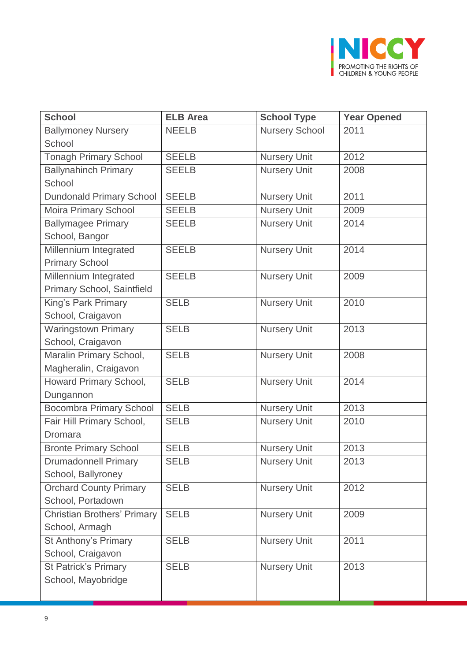

| <b>School</b>                      | <b>ELB Area</b> | <b>School Type</b>    | <b>Year Opened</b> |
|------------------------------------|-----------------|-----------------------|--------------------|
| <b>Ballymoney Nursery</b>          | <b>NEELB</b>    | <b>Nursery School</b> | 2011               |
| School                             |                 |                       |                    |
| <b>Tonagh Primary School</b>       | <b>SEELB</b>    | <b>Nursery Unit</b>   | 2012               |
| <b>Ballynahinch Primary</b>        | <b>SEELB</b>    | <b>Nursery Unit</b>   | 2008               |
| School                             |                 |                       |                    |
| <b>Dundonald Primary School</b>    | <b>SEELB</b>    | <b>Nursery Unit</b>   | 2011               |
| <b>Moira Primary School</b>        | <b>SEELB</b>    | <b>Nursery Unit</b>   | 2009               |
| <b>Ballymagee Primary</b>          | <b>SEELB</b>    | <b>Nursery Unit</b>   | 2014               |
| School, Bangor                     |                 |                       |                    |
| Millennium Integrated              | <b>SEELB</b>    | <b>Nursery Unit</b>   | 2014               |
| <b>Primary School</b>              |                 |                       |                    |
| Millennium Integrated              | <b>SEELB</b>    | <b>Nursery Unit</b>   | 2009               |
| Primary School, Saintfield         |                 |                       |                    |
| King's Park Primary                | <b>SELB</b>     | <b>Nursery Unit</b>   | 2010               |
| School, Craigavon                  |                 |                       |                    |
| <b>Waringstown Primary</b>         | <b>SELB</b>     | <b>Nursery Unit</b>   | 2013               |
| School, Craigavon                  |                 |                       |                    |
| Maralin Primary School,            | <b>SELB</b>     | <b>Nursery Unit</b>   | 2008               |
| Magheralin, Craigavon              |                 |                       |                    |
| Howard Primary School,             | <b>SELB</b>     | <b>Nursery Unit</b>   | 2014               |
| Dungannon                          |                 |                       |                    |
| <b>Bocombra Primary School</b>     | <b>SELB</b>     | <b>Nursery Unit</b>   | 2013               |
| Fair Hill Primary School,          | <b>SELB</b>     | <b>Nursery Unit</b>   | 2010               |
| Dromara                            |                 |                       |                    |
| <b>Bronte Primary School</b>       | <b>SELB</b>     | <b>Nursery Unit</b>   | 2013               |
| <b>Drumadonnell Primary</b>        | <b>SELB</b>     | <b>Nursery Unit</b>   | 2013               |
| School, Ballyroney                 |                 |                       |                    |
| <b>Orchard County Primary</b>      | <b>SELB</b>     | <b>Nursery Unit</b>   | 2012               |
| School, Portadown                  |                 |                       |                    |
| <b>Christian Brothers' Primary</b> | <b>SELB</b>     | <b>Nursery Unit</b>   | 2009               |
| School, Armagh                     |                 |                       |                    |
| St Anthony's Primary               | <b>SELB</b>     | <b>Nursery Unit</b>   | 2011               |
| School, Craigavon                  |                 |                       |                    |
| <b>St Patrick's Primary</b>        | <b>SELB</b>     | <b>Nursery Unit</b>   | 2013               |
| School, Mayobridge                 |                 |                       |                    |
|                                    |                 |                       |                    |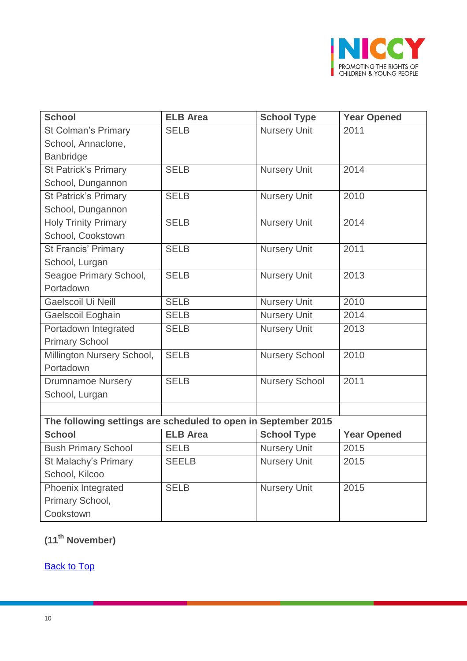

| <b>School</b>                                                  | <b>ELB Area</b> | <b>School Type</b>    | <b>Year Opened</b> |  |
|----------------------------------------------------------------|-----------------|-----------------------|--------------------|--|
| <b>St Colman's Primary</b>                                     | <b>SELB</b>     | <b>Nursery Unit</b>   | 2011               |  |
| School, Annaclone,                                             |                 |                       |                    |  |
| <b>Banbridge</b>                                               |                 |                       |                    |  |
| St Patrick's Primary                                           | <b>SELB</b>     | <b>Nursery Unit</b>   | 2014               |  |
| School, Dungannon                                              |                 |                       |                    |  |
| <b>St Patrick's Primary</b>                                    | <b>SELB</b>     | <b>Nursery Unit</b>   | 2010               |  |
| School, Dungannon                                              |                 |                       |                    |  |
| <b>Holy Trinity Primary</b>                                    | <b>SELB</b>     | <b>Nursery Unit</b>   | 2014               |  |
| School, Cookstown                                              |                 |                       |                    |  |
| <b>St Francis' Primary</b>                                     | <b>SELB</b>     | <b>Nursery Unit</b>   | 2011               |  |
| School, Lurgan                                                 |                 |                       |                    |  |
| Seagoe Primary School,                                         | <b>SELB</b>     | <b>Nursery Unit</b>   | 2013               |  |
| Portadown                                                      |                 |                       |                    |  |
| Gaelscoil Ui Neill                                             | <b>SELB</b>     | <b>Nursery Unit</b>   | 2010               |  |
| Gaelscoil Eoghain                                              | <b>SELB</b>     | <b>Nursery Unit</b>   | 2014               |  |
| Portadown Integrated                                           | <b>SELB</b>     | <b>Nursery Unit</b>   | 2013               |  |
| <b>Primary School</b>                                          |                 |                       |                    |  |
| Millington Nursery School,                                     | <b>SELB</b>     | <b>Nursery School</b> | 2010               |  |
| Portadown                                                      |                 |                       |                    |  |
| <b>Drumnamoe Nursery</b>                                       | <b>SELB</b>     | <b>Nursery School</b> | 2011               |  |
| School, Lurgan                                                 |                 |                       |                    |  |
|                                                                |                 |                       |                    |  |
| The following settings are scheduled to open in September 2015 |                 |                       |                    |  |
| <b>School</b>                                                  | <b>ELB Area</b> | <b>School Type</b>    | <b>Year Opened</b> |  |
| <b>Bush Primary School</b>                                     | <b>SELB</b>     | <b>Nursery Unit</b>   | 2015               |  |
| St Malachy's Primary                                           | <b>SEELB</b>    | <b>Nursery Unit</b>   | 2015               |  |
| School, Kilcoo                                                 |                 |                       |                    |  |
| Phoenix Integrated                                             | <b>SELB</b>     | <b>Nursery Unit</b>   | 2015               |  |
| Primary School,                                                |                 |                       |                    |  |
| Cookstown                                                      |                 |                       |                    |  |

# **(11th November)**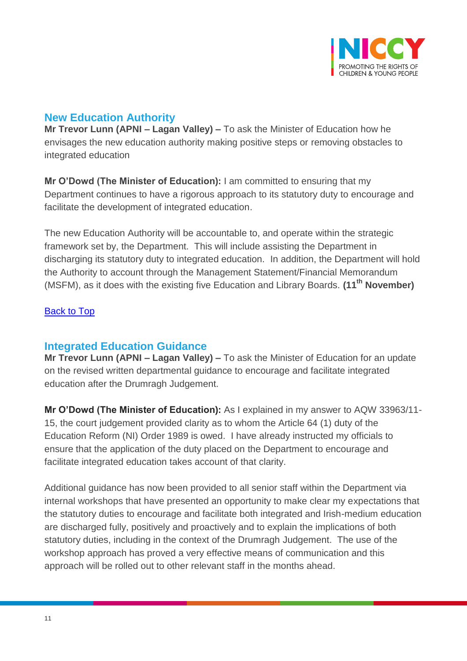

## <span id="page-10-0"></span>**New Education Authority**

**Mr Trevor Lunn (APNI – Lagan Valley) –** To ask the Minister of Education how he envisages the new education authority making positive steps or removing obstacles to integrated education

**Mr O'Dowd (The Minister of Education):** I am committed to ensuring that my Department continues to have a rigorous approach to its statutory duty to encourage and facilitate the development of integrated education.

The new Education Authority will be accountable to, and operate within the strategic framework set by, the Department. This will include assisting the Department in discharging its statutory duty to integrated education. In addition, the Department will hold the Authority to account through the Management Statement/Financial Memorandum (MSFM), as it does with the existing five Education and Library Boards. **(11th November)**

### [Back to Top](#page-0-0)

## <span id="page-10-1"></span>**Integrated Education Guidance**

**Mr Trevor Lunn (APNI – Lagan Valley) –** To ask the Minister of Education for an update on the revised written departmental guidance to encourage and facilitate integrated education after the Drumragh Judgement.

**Mr O'Dowd (The Minister of Education):** As I explained in my answer to AQW 33963/11- 15, the court judgement provided clarity as to whom the Article 64 (1) duty of the Education Reform (NI) Order 1989 is owed. I have already instructed my officials to ensure that the application of the duty placed on the Department to encourage and facilitate integrated education takes account of that clarity.

Additional guidance has now been provided to all senior staff within the Department via internal workshops that have presented an opportunity to make clear my expectations that the statutory duties to encourage and facilitate both integrated and Irish-medium education are discharged fully, positively and proactively and to explain the implications of both statutory duties, including in the context of the Drumragh Judgement. The use of the workshop approach has proved a very effective means of communication and this approach will be rolled out to other relevant staff in the months ahead.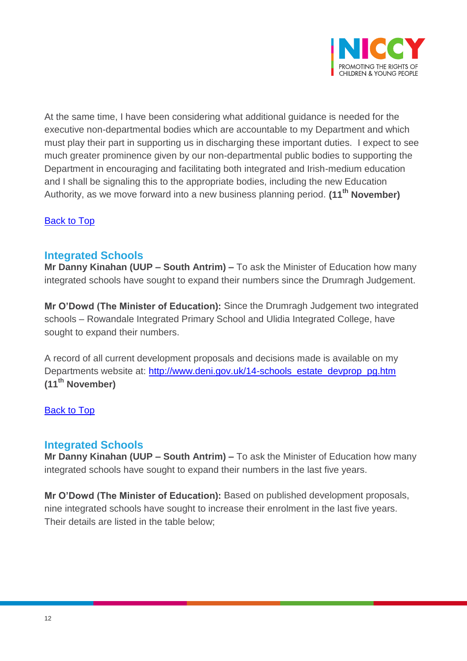

At the same time, I have been considering what additional guidance is needed for the executive non-departmental bodies which are accountable to my Department and which must play their part in supporting us in discharging these important duties. I expect to see much greater prominence given by our non-departmental public bodies to supporting the Department in encouraging and facilitating both integrated and Irish-medium education and I shall be signaling this to the appropriate bodies, including the new Education Authority, as we move forward into a new business planning period. **(11th November)**

### [Back to Top](#page-0-0)

## <span id="page-11-0"></span>**Integrated Schools**

**Mr Danny Kinahan (UUP – South Antrim) –** To ask the Minister of Education how many integrated schools have sought to expand their numbers since the Drumragh Judgement.

**Mr O'Dowd (The Minister of Education):** Since the Drumragh Judgement two integrated schools – Rowandale Integrated Primary School and Ulidia Integrated College, have sought to expand their numbers.

A record of all current development proposals and decisions made is available on my Departments website at: [http://www.deni.gov.uk/14-schools\\_estate\\_devprop\\_pg.htm](http://www.deni.gov.uk/14-schools_estate_devprop_pg.htm) **(11th November)**

#### [Back to Top](#page-0-0)

### <span id="page-11-1"></span>**Integrated Schools**

**Mr Danny Kinahan (UUP – South Antrim) –** To ask the Minister of Education how many integrated schools have sought to expand their numbers in the last five years.

**Mr O'Dowd (The Minister of Education):** Based on published development proposals, nine integrated schools have sought to increase their enrolment in the last five years. Their details are listed in the table below;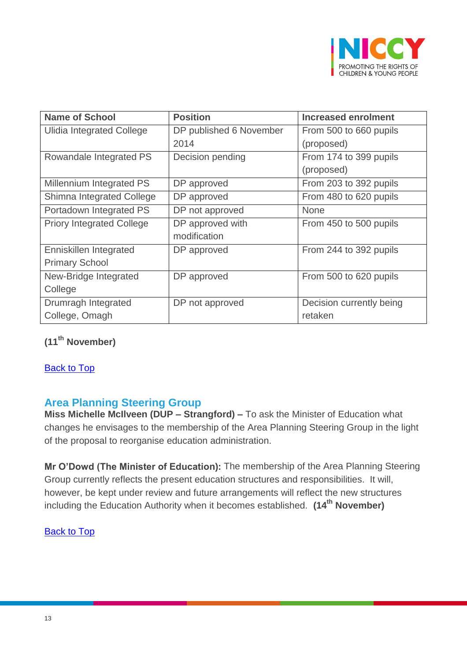

| <b>Name of School</b>            | <b>Position</b>         | <b>Increased enrolment</b> |
|----------------------------------|-------------------------|----------------------------|
| <b>Ulidia Integrated College</b> | DP published 6 November | From 500 to 660 pupils     |
|                                  | 2014                    | (proposed)                 |
| Rowandale Integrated PS          | Decision pending        | From 174 to 399 pupils     |
|                                  |                         | (proposed)                 |
| Millennium Integrated PS         | DP approved             | From 203 to 392 pupils     |
| Shimna Integrated College        | DP approved             | From 480 to 620 pupils     |
| Portadown Integrated PS          | DP not approved         | <b>None</b>                |
| <b>Priory Integrated College</b> | DP approved with        | From 450 to 500 pupils     |
|                                  | modification            |                            |
| Enniskillen Integrated           | DP approved             | From 244 to 392 pupils     |
| <b>Primary School</b>            |                         |                            |
| New-Bridge Integrated            | DP approved             | From 500 to 620 pupils     |
| College                          |                         |                            |
| Drumragh Integrated              | DP not approved         | Decision currently being   |
| College, Omagh                   |                         | retaken                    |

**(11th November)**

**[Back to Top](#page-0-0)** 

## <span id="page-12-0"></span>**Area Planning Steering Group**

**Miss Michelle McIlveen (DUP – Strangford) –** To ask the Minister of Education what changes he envisages to the membership of the Area Planning Steering Group in the light of the proposal to reorganise education administration.

**Mr O'Dowd (The Minister of Education):** The membership of the Area Planning Steering Group currently reflects the present education structures and responsibilities. It will, however, be kept under review and future arrangements will reflect the new structures including the Education Authority when it becomes established. **(14th November)**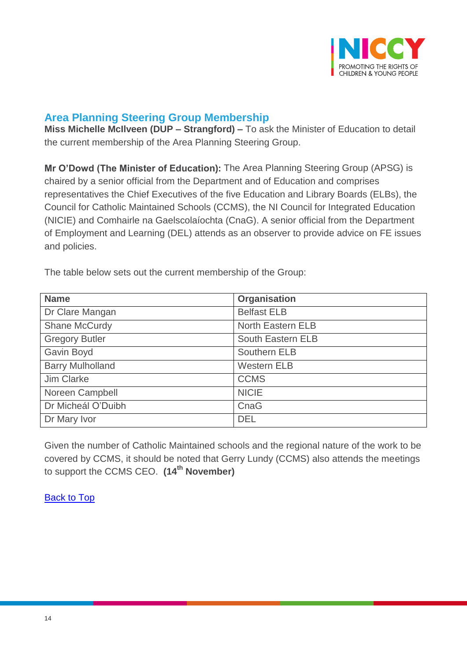

## <span id="page-13-0"></span>**Area Planning Steering Group Membership**

**Miss Michelle McIlveen (DUP – Strangford) –** To ask the Minister of Education to detail the current membership of the Area Planning Steering Group.

**Mr O'Dowd (The Minister of Education):** The Area Planning Steering Group (APSG) is chaired by a senior official from the Department and of Education and comprises representatives the Chief Executives of the five Education and Library Boards (ELBs), the Council for Catholic Maintained Schools (CCMS), the NI Council for Integrated Education (NICIE) and Comhairle na Gaelscolaíochta (CnaG). A senior official from the Department of Employment and Learning (DEL) attends as an observer to provide advice on FE issues and policies.

The table below sets out the current membership of the Group:

| <b>Name</b>             | Organisation       |
|-------------------------|--------------------|
| Dr Clare Mangan         | <b>Belfast ELB</b> |
| Shane McCurdy           | North Eastern ELB  |
| <b>Gregory Butler</b>   | South Eastern ELB  |
| Gavin Boyd              | Southern ELB       |
| <b>Barry Mulholland</b> | <b>Western ELB</b> |
| Jim Clarke              | <b>CCMS</b>        |
| Noreen Campbell         | <b>NICIE</b>       |
| Dr Micheál O'Duibh      | CnaG               |
| Dr Mary Ivor            | <b>DEL</b>         |

Given the number of Catholic Maintained schools and the regional nature of the work to be covered by CCMS, it should be noted that Gerry Lundy (CCMS) also attends the meetings to support the CCMS CEO. **(14th November)**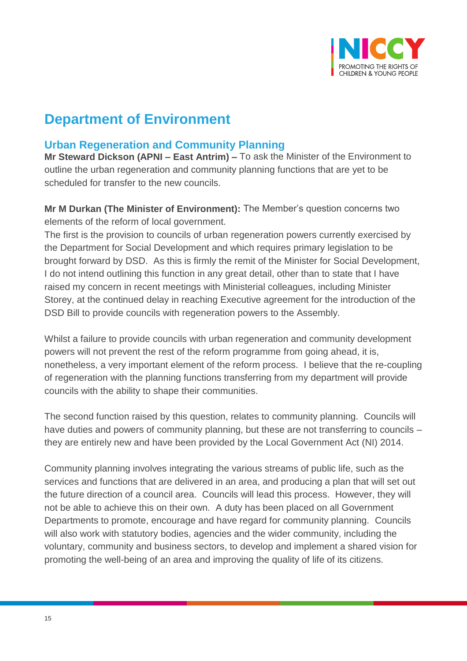

# **Department of Environment**

# <span id="page-14-0"></span>**Urban Regeneration and Community Planning**

**Mr Steward Dickson (APNI – East Antrim) –** To ask the Minister of the Environment to outline the urban regeneration and community planning functions that are yet to be scheduled for transfer to the new councils.

**Mr M Durkan (The Minister of Environment):** The Member's question concerns two elements of the reform of local government.

The first is the provision to councils of urban regeneration powers currently exercised by the Department for Social Development and which requires primary legislation to be brought forward by DSD. As this is firmly the remit of the Minister for Social Development, I do not intend outlining this function in any great detail, other than to state that I have raised my concern in recent meetings with Ministerial colleagues, including Minister Storey, at the continued delay in reaching Executive agreement for the introduction of the DSD Bill to provide councils with regeneration powers to the Assembly.

Whilst a failure to provide councils with urban regeneration and community development powers will not prevent the rest of the reform programme from going ahead, it is, nonetheless, a very important element of the reform process. I believe that the re-coupling of regeneration with the planning functions transferring from my department will provide councils with the ability to shape their communities.

The second function raised by this question, relates to community planning. Councils will have duties and powers of community planning, but these are not transferring to councils – they are entirely new and have been provided by the Local Government Act (NI) 2014.

Community planning involves integrating the various streams of public life, such as the services and functions that are delivered in an area, and producing a plan that will set out the future direction of a council area. Councils will lead this process. However, they will not be able to achieve this on their own. A duty has been placed on all Government Departments to promote, encourage and have regard for community planning. Councils will also work with statutory bodies, agencies and the wider community, including the voluntary, community and business sectors, to develop and implement a shared vision for promoting the well-being of an area and improving the quality of life of its citizens.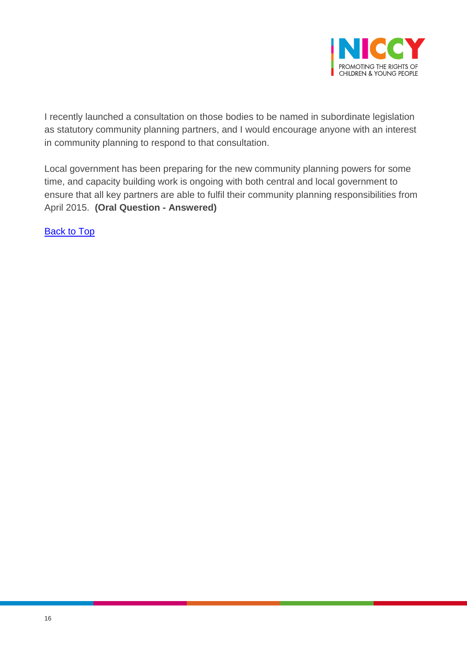

I recently launched a consultation on those bodies to be named in subordinate legislation as statutory community planning partners, and I would encourage anyone with an interest in community planning to respond to that consultation.

Local government has been preparing for the new community planning powers for some time, and capacity building work is ongoing with both central and local government to ensure that all key partners are able to fulfil their community planning responsibilities from April 2015. **(Oral Question - Answered)**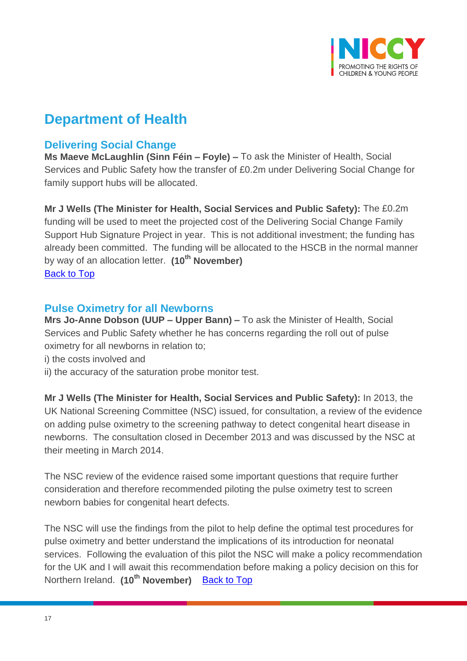

# **Department of Health**

## <span id="page-16-0"></span>**Delivering Social Change**

**Ms Maeve McLaughlin (Sinn Féin – Foyle) –** To ask the Minister of Health, Social Services and Public Safety how the transfer of £0.2m under Delivering Social Change for family support hubs will be allocated.

**Mr J Wells (The Minister for Health, Social Services and Public Safety):** The £0.2m funding will be used to meet the projected cost of the Delivering Social Change Family Support Hub Signature Project in year. This is not additional investment; the funding has already been committed. The funding will be allocated to the HSCB in the normal manner by way of an allocation letter. **(10th November)**

[Back to Top](#page-0-0)

## <span id="page-16-1"></span>**Pulse Oximetry for all Newborns**

**Mrs Jo-Anne Dobson (UUP – Upper Bann) –** To ask the Minister of Health, Social Services and Public Safety whether he has concerns regarding the roll out of pulse oximetry for all newborns in relation to;

- i) the costs involved and
- ii) the accuracy of the saturation probe monitor test.

**Mr J Wells (The Minister for Health, Social Services and Public Safety):** In 2013, the UK National Screening Committee (NSC) issued, for consultation, a review of the evidence on adding pulse oximetry to the screening pathway to detect congenital heart disease in newborns. The consultation closed in December 2013 and was discussed by the NSC at their meeting in March 2014.

The NSC review of the evidence raised some important questions that require further consideration and therefore recommended piloting the pulse oximetry test to screen newborn babies for congenital heart defects.

The NSC will use the findings from the pilot to help define the optimal test procedures for pulse oximetry and better understand the implications of its introduction for neonatal services. Following the evaluation of this pilot the NSC will make a policy recommendation for the UK and I will await this recommendation before making a policy decision on this for Northern Ireland. **(10th November)** [Back to Top](#page-0-0)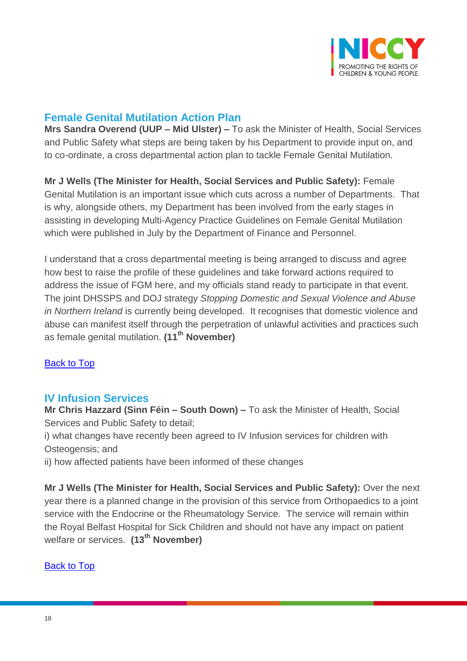

## <span id="page-17-0"></span>**Female Genital Mutilation Action Plan**

**Mrs Sandra Overend (UUP – Mid Ulster) –** To ask the Minister of Health, Social Services and Public Safety what steps are being taken by his Department to provide input on, and to co-ordinate, a cross departmental action plan to tackle Female Genital Mutilation.

**Mr J Wells (The Minister for Health, Social Services and Public Safety):** Female Genital Mutilation is an important issue which cuts across a number of Departments. That is why, alongside others, my Department has been involved from the early stages in assisting in developing Multi-Agency Practice Guidelines on Female Genital Mutilation which were published in July by the Department of Finance and Personnel.

I understand that a cross departmental meeting is being arranged to discuss and agree how best to raise the profile of these guidelines and take forward actions required to address the issue of FGM here, and my officials stand ready to participate in that event. The joint DHSSPS and DOJ strategy *Stopping Domestic and Sexual Violence and Abuse in Northern Ireland* is currently being developed. It recognises that domestic violence and abuse can manifest itself through the perpetration of unlawful activities and practices such as female genital mutilation. **(11th November)**

### [Back to Top](#page-0-0)

## <span id="page-17-1"></span>**IV Infusion Services**

**Mr Chris Hazzard (Sinn Féin – South Down) –** To ask the Minister of Health, Social Services and Public Safety to detail;

i) what changes have recently been agreed to IV Infusion services for children with Osteogensis; and

ii) how affected patients have been informed of these changes

**Mr J Wells (The Minister for Health, Social Services and Public Safety):** Over the next year there is a planned change in the provision of this service from Orthopaedics to a joint service with the Endocrine or the Rheumatology Service. The service will remain within the Royal Belfast Hospital for Sick Children and should not have any impact on patient welfare or services. **(13th November)**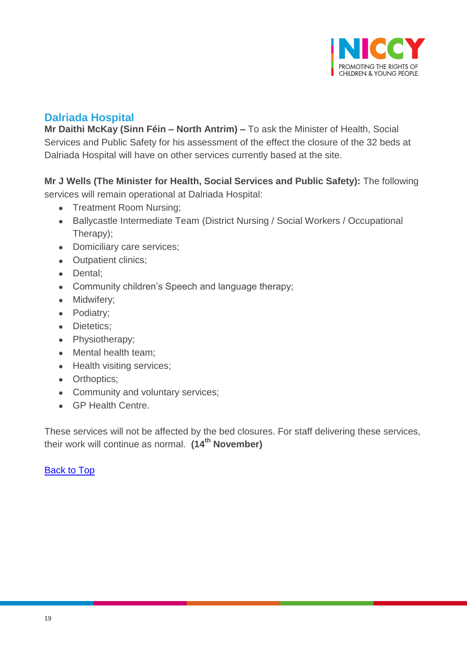

# <span id="page-18-0"></span>**Dalriada Hospital**

**Mr Daithi McKay (Sinn Féin – North Antrim) –** To ask the Minister of Health, Social Services and Public Safety for his assessment of the effect the closure of the 32 beds at Dalriada Hospital will have on other services currently based at the site.

**Mr J Wells (The Minister for Health, Social Services and Public Safety):** The following

services will remain operational at Dalriada Hospital:

- Treatment Room Nursing;
- Ballycastle Intermediate Team (District Nursing / Social Workers / Occupational Therapy);
- Domiciliary care services;
- Outpatient clinics;
- Dental:
- Community children's Speech and language therapy;
- Midwifery;
- Podiatry;
- Dietetics;
- Physiotherapy;
- Mental health team;
- Health visiting services;
- Orthoptics;
- Community and voluntary services;
- GP Health Centre.

These services will not be affected by the bed closures. For staff delivering these services, their work will continue as normal. **(14th November)**